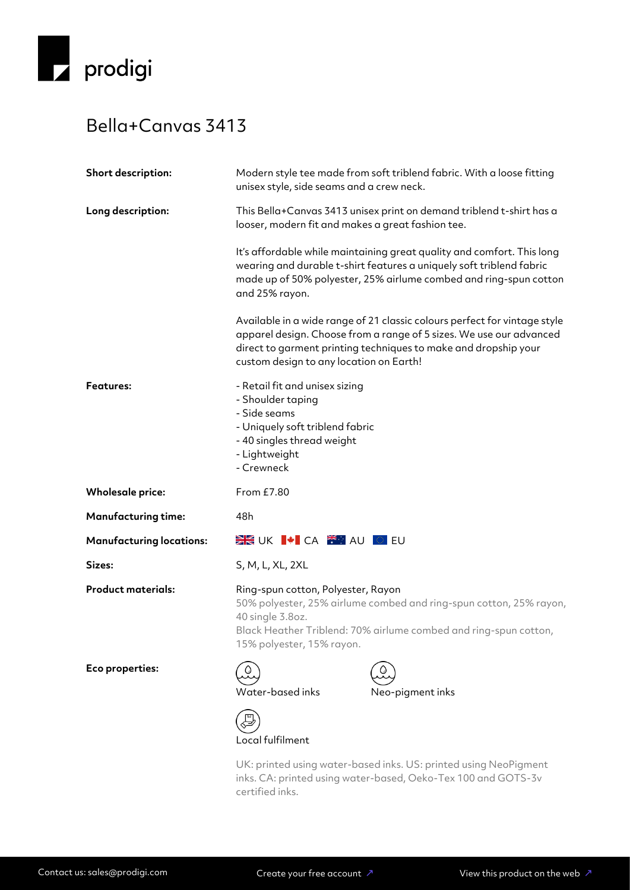

## Bella+Canvas 3413

| Short description:              | Modern style tee made from soft triblend fabric. With a loose fitting<br>unisex style, side seams and a crew neck.                                                                                                                                             |  |
|---------------------------------|----------------------------------------------------------------------------------------------------------------------------------------------------------------------------------------------------------------------------------------------------------------|--|
| Long description:               | This Bella+Canvas 3413 unisex print on demand triblend t-shirt has a<br>looser, modern fit and makes a great fashion tee.                                                                                                                                      |  |
|                                 | It's affordable while maintaining great quality and comfort. This long<br>wearing and durable t-shirt features a uniquely soft triblend fabric<br>made up of 50% polyester, 25% airlume combed and ring-spun cotton<br>and 25% rayon.                          |  |
|                                 | Available in a wide range of 21 classic colours perfect for vintage style<br>apparel design. Choose from a range of 5 sizes. We use our advanced<br>direct to garment printing techniques to make and dropship your<br>custom design to any location on Earth! |  |
| <b>Features:</b>                | - Retail fit and unisex sizing<br>- Shoulder taping<br>- Side seams<br>- Uniquely soft triblend fabric<br>- 40 singles thread weight<br>- Lightweight<br>- Crewneck                                                                                            |  |
| <b>Wholesale price:</b>         | From £7.80                                                                                                                                                                                                                                                     |  |
| <b>Manufacturing time:</b>      | 48h                                                                                                                                                                                                                                                            |  |
| <b>Manufacturing locations:</b> |                                                                                                                                                                                                                                                                |  |
| Sizes:                          | S, M, L, XL, 2XL                                                                                                                                                                                                                                               |  |
| <b>Product materials:</b>       | Ring-spun cotton, Polyester, Rayon<br>50% polyester, 25% airlume combed and ring-spun cotton, 25% rayon,<br>40 single 3.8oz.<br>Black Heather Triblend: 70% airlume combed and ring-spun cotton,<br>15% polyester, 15% rayon.                                  |  |
| Eco properties:                 | Water-based inks<br>Neo-pigment inks                                                                                                                                                                                                                           |  |
|                                 | Local fulfilment                                                                                                                                                                                                                                               |  |
|                                 | UK: printed using water-based inks. US: printed using NeoPigment                                                                                                                                                                                               |  |

inks. CA: printed using water-based, Oeko-Tex 100 and GOTS-3v certified inks.